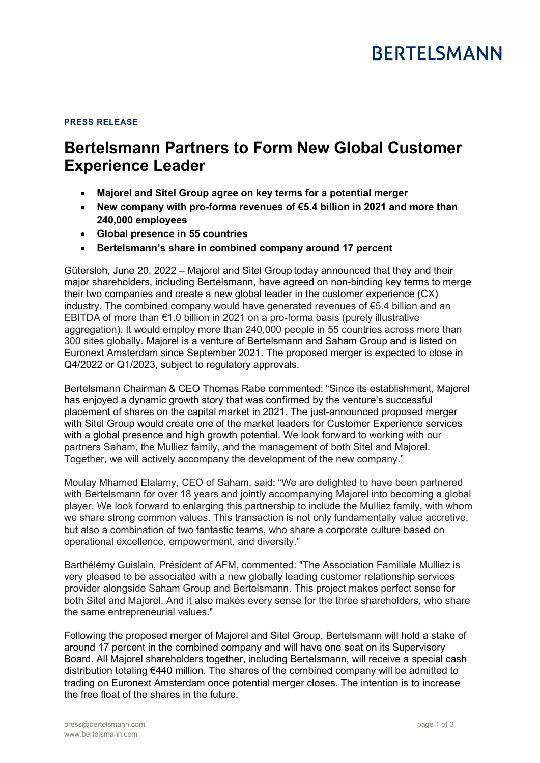## PRESS RELEASE

# Bertelsmann Partners to Form New Global Customer Experience Leader

- Majorel and Sitel Group agree on key terms for a potential merger
- New company with pro-forma revenues of €5.4 billion in 2021 and more than 240,000 employees
- Global presence in 55 countries
- Bertelsmann's share in combined company around 17 percent

Gütersloh, June 20, 2022 – Majorel and Sitel Group today announced that they and their major shareholders, including Bertelsmann, have agreed on non-binding key terms to merge their two companies and create a new global leader in the customer experience (CX) industry. The combined company would have generated revenues of €5.4 billion and an EBITDA of more than €1.0 billion in 2021 on a pro-forma basis (purely illustrative aggregation). It would employ more than 240,000 people in 55 countries across more than 300 sites globally. Majorel is a venture of Bertelsmann and Saham Group and is listed on Euronext Amsterdam since September 2021. The proposed merger is expected to close in Q4/2022 or Q1/2023, subject to regulatory approvals.

Bertelsmann Chairman & CEO Thomas Rabe commented: "Since its establishment, Majorel has enjoyed a dynamic growth story that was confirmed by the venture's successful placement of shares on the capital market in 2021. The just-announced proposed merger with Sitel Group would create one of the market leaders for Customer Experience services with a global presence and high growth potential. We look forward to working with our partners Saham, the Mulliez family, and the management of both Sitel and Majorel. Together, we will actively accompany the development of the new company."

Moulay Mhamed Elalamy, CEO of Saham, said: "We are delighted to have been partnered with Bertelsmann for over 18 years and jointly accompanying Majorel into becoming a global player. We look forward to enlarging this partnership to include the Mulliez family, with whom we share strong common values. This transaction is not only fundamentally value accretive, but also a combination of two fantastic teams, who share a corporate culture based on operational excellence, empowerment, and diversity."

Barthélémy Guislain, Président of AFM, commented: "The Association Familiale Mulliez is very pleased to be associated with a new globally leading customer relationship services provider alongside Saham Group and Bertelsmann. This project makes perfect sense for both Sitel and Majorel. And it also makes every sense for the three shareholders, who share the same entrepreneurial values."

Following the proposed merger of Majorel and Sitel Group, Bertelsmann will hold a stake of around 17 percent in the combined company and will have one seat on its Supervisory Board. All Majorel shareholders together, including Bertelsmann, will receive a special cash distribution totaling €440 million. The shares of the combined company will be admitted to trading on Euronext Amsterdam once potential merger closes. The intention is to increase the free float of the shares in the future.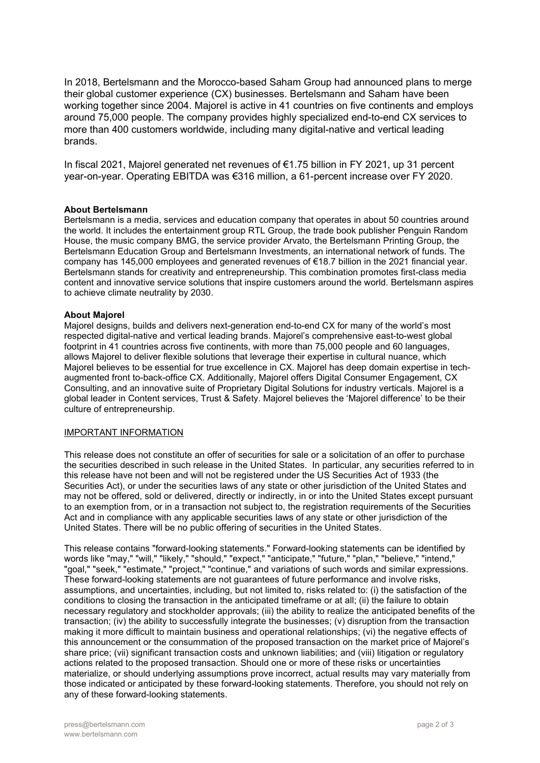In 2018, Bertelsmann and the Morocco-based Saham Group had announced plans to merge their global customer experience (CX) businesses. Bertelsmann and Saham have been working together since 2004. Majorel is active in 41 countries on five continents and employs around 75,000 people. The company provides highly specialized end-to-end CX services to more than 400 customers worldwide, including many digital-native and vertical leading brands.

In fiscal 2021, Majorel generated net revenues of €1.75 billion in FY 2021, up 31 percent year-on-year. Operating EBITDA was €316 million, a 61-percent increase over FY 2020.

## About Bertelsmann

Bertelsmann is a media, services and education company that operates in about 50 countries around the world. It includes the entertainment group RTL Group, the trade book publisher Penguin Random House, the music company BMG, the service provider Arvato, the Bertelsmann Printing Group, the Bertelsmann Education Group and Bertelsmann Investments, an international network of funds. The company has 145,000 employees and generated revenues of €18.7 billion in the 2021 financial year. Bertelsmann stands for creativity and entrepreneurship. This combination promotes first-class media content and innovative service solutions that inspire customers around the world. Bertelsmann aspires to achieve climate neutrality by 2030.

### About Majorel

Majorel designs, builds and delivers next-generation end-to-end CX for many of the world's most respected digital-native and vertical leading brands. Majorel's comprehensive east-to-west global footprint in 41 countries across five continents, with more than 75,000 people and 60 languages, allows Majorel to deliver flexible solutions that leverage their expertise in cultural nuance, which Majorel believes to be essential for true excellence in CX. Majorel has deep domain expertise in techaugmented front to-back-office CX. Additionally, Majorel offers Digital Consumer Engagement, CX Consulting, and an innovative suite of Proprietary Digital Solutions for industry verticals. Majorel is a global leader in Content services, Trust & Safety. Majorel believes the 'Majorel difference' to be their culture of entrepreneurship.

### IMPORTANT INFORMATION

This release does not constitute an offer of securities for sale or a solicitation of an offer to purchase the securities described in such release in the United States. In particular, any securities referred to in this release have not been and will not be registered under the US Securities Act of 1933 (the Securities Act), or under the securities laws of any state or other jurisdiction of the United States and may not be offered, sold or delivered, directly or indirectly, in or into the United States except pursuant to an exemption from, or in a transaction not subject to, the registration requirements of the Securities Act and in compliance with any applicable securities laws of any state or other jurisdiction of the United States. There will be no public offering of securities in the United States.

This release contains "forward-looking statements." Forward-looking statements can be identified by words like "may," "will," "likely," "should," "expect," "anticipate," "future," "plan," "believe," "intend," "goal," "seek," "estimate," "project," "continue," and variations of such words and similar expressions. These forward-looking statements are not guarantees of future performance and involve risks, assumptions, and uncertainties, including, but not limited to, risks related to: (i) the satisfaction of the conditions to closing the transaction in the anticipated timeframe or at all; (ii) the failure to obtain necessary regulatory and stockholder approvals; (iii) the ability to realize the anticipated benefits of the transaction; (iv) the ability to successfully integrate the businesses; (v) disruption from the transaction making it more difficult to maintain business and operational relationships; (vi) the negative effects of this announcement or the consummation of the proposed transaction on the market price of Majorel's share price; (vii) significant transaction costs and unknown liabilities; and (viii) litigation or regulatory actions related to the proposed transaction. Should one or more of these risks or uncertainties materialize, or should underlying assumptions prove incorrect, actual results may vary materially from those indicated or anticipated by these forward-looking statements. Therefore, you should not rely on any of these forward-looking statements.